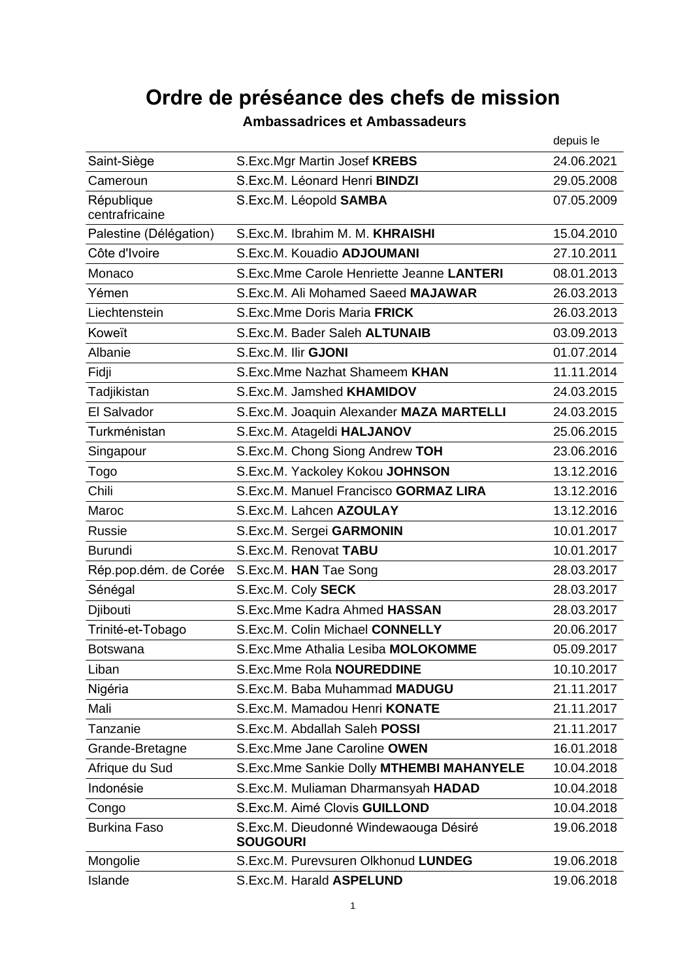## **Ordre de préséance des chefs de mission**

|                              |                                                          | depuis le  |
|------------------------------|----------------------------------------------------------|------------|
| Saint-Siège                  | S.Exc.Mgr Martin Josef KREBS                             | 24.06.2021 |
| Cameroun                     | S.Exc.M. Léonard Henri BINDZI                            | 29.05.2008 |
| République<br>centrafricaine | S.Exc.M. Léopold SAMBA                                   | 07.05.2009 |
| Palestine (Délégation)       | S.Exc.M. Ibrahim M. M. KHRAISHI                          | 15.04.2010 |
| Côte d'Ivoire                | S.Exc.M. Kouadio ADJOUMANI                               | 27.10.2011 |
| Monaco                       | S.Exc.Mme Carole Henriette Jeanne LANTERI                | 08.01.2013 |
| Yémen                        | S.Exc.M. Ali Mohamed Saeed MAJAWAR                       | 26.03.2013 |
| Liechtenstein                | S.Exc.Mme Doris Maria FRICK                              | 26.03.2013 |
| Koweït                       | S.Exc.M. Bader Saleh ALTUNAIB                            | 03.09.2013 |
| Albanie                      | S.Exc.M. Ilir GJONI                                      | 01.07.2014 |
| Fidji                        | S.Exc.Mme Nazhat Shameem KHAN                            | 11.11.2014 |
| Tadjikistan                  | S.Exc.M. Jamshed KHAMIDOV                                | 24.03.2015 |
| El Salvador                  | S.Exc.M. Joaquin Alexander MAZA MARTELLI                 | 24.03.2015 |
| Turkménistan                 | S.Exc.M. Atageldi HALJANOV                               | 25.06.2015 |
| Singapour                    | S.Exc.M. Chong Siong Andrew TOH                          | 23.06.2016 |
| Togo                         | S.Exc.M. Yackoley Kokou JOHNSON                          | 13.12.2016 |
| Chili                        | S.Exc.M. Manuel Francisco GORMAZ LIRA                    | 13.12.2016 |
| Maroc                        | S.Exc.M. Lahcen AZOULAY                                  | 13.12.2016 |
| <b>Russie</b>                | S.Exc.M. Sergei GARMONIN                                 | 10.01.2017 |
| <b>Burundi</b>               | S.Exc.M. Renovat TABU                                    | 10.01.2017 |
| Rép.pop.dém. de Corée        | S.Exc.M. HAN Tae Song                                    | 28.03.2017 |
| Sénégal                      | S.Exc.M. Coly SECK                                       | 28.03.2017 |
| Djibouti                     | S.Exc.Mme Kadra Ahmed HASSAN                             | 28.03.2017 |
| Trinité-et-Tobago            | S.Exc.M. Colin Michael CONNELLY                          | 20.06.2017 |
| <b>Botswana</b>              | S.Exc.Mme Athalia Lesiba MOLOKOMME                       | 05.09.2017 |
| Liban                        | <b>S.Exc.Mme Rola NOUREDDINE</b>                         | 10.10.2017 |
| Nigéria                      | S.Exc.M. Baba Muhammad MADUGU                            | 21.11.2017 |
| Mali                         | S.Exc.M. Mamadou Henri KONATE                            | 21.11.2017 |
| Tanzanie                     | S.Exc.M. Abdallah Saleh POSSI                            | 21.11.2017 |
| Grande-Bretagne              | S.Exc.Mme Jane Caroline OWEN                             | 16.01.2018 |
| Afrique du Sud               | S.Exc.Mme Sankie Dolly MTHEMBI MAHANYELE                 | 10.04.2018 |
| Indonésie                    | S.Exc.M. Muliaman Dharmansyah HADAD                      | 10.04.2018 |
| Congo                        | S.Exc.M. Aimé Clovis GUILLOND                            | 10.04.2018 |
| <b>Burkina Faso</b>          | S.Exc.M. Dieudonné Windewaouga Désiré<br><b>SOUGOURI</b> | 19.06.2018 |
| Mongolie                     | S.Exc.M. Purevsuren Olkhonud LUNDEG                      | 19.06.2018 |
| Islande                      | S.Exc.M. Harald ASPELUND                                 | 19.06.2018 |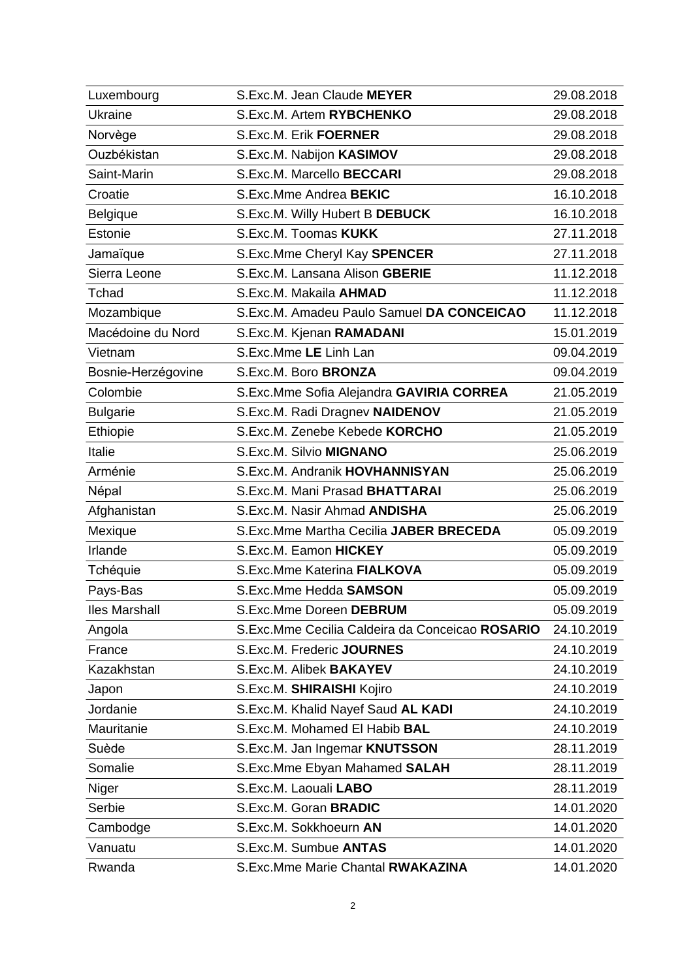| Luxembourg           | S.Exc.M. Jean Claude MEYER                      | 29.08.2018 |
|----------------------|-------------------------------------------------|------------|
| Ukraine              | S.Exc.M. Artem RYBCHENKO                        | 29.08.2018 |
| Norvège              | <b>S.Exc.M. Erik FOERNER</b>                    | 29.08.2018 |
| Ouzbékistan          | S.Exc.M. Nabijon KASIMOV                        | 29.08.2018 |
| Saint-Marin          | S.Exc.M. Marcello BECCARI                       | 29.08.2018 |
| Croatie              | S.Exc.Mme Andrea BEKIC                          | 16.10.2018 |
| Belgique             | S.Exc.M. Willy Hubert B DEBUCK                  | 16.10.2018 |
| Estonie              | S.Exc.M. Toomas KUKK                            | 27.11.2018 |
| Jamaïque             | S.Exc.Mme Cheryl Kay SPENCER                    | 27.11.2018 |
| Sierra Leone         | S.Exc.M. Lansana Alison GBERIE                  | 11.12.2018 |
| Tchad                | S.Exc.M. Makaila AHMAD                          | 11.12.2018 |
| Mozambique           | S.Exc.M. Amadeu Paulo Samuel DA CONCEICAO       | 11.12.2018 |
| Macédoine du Nord    | S.Exc.M. Kjenan RAMADANI                        | 15.01.2019 |
| Vietnam              | S.Exc.Mme LE Linh Lan                           | 09.04.2019 |
| Bosnie-Herzégovine   | S.Exc.M. Boro BRONZA                            | 09.04.2019 |
| Colombie             | S.Exc.Mme Sofia Alejandra GAVIRIA CORREA        | 21.05.2019 |
| <b>Bulgarie</b>      | S.Exc.M. Radi Dragnev NAIDENOV                  | 21.05.2019 |
| Ethiopie             | S.Exc.M. Zenebe Kebede KORCHO                   | 21.05.2019 |
| Italie               | S.Exc.M. Silvio MIGNANO                         | 25.06.2019 |
| Arménie              | S.Exc.M. Andranik HOVHANNISYAN                  | 25.06.2019 |
| Népal                | S.Exc.M. Mani Prasad BHATTARAI                  | 25.06.2019 |
| Afghanistan          | S.Exc.M. Nasir Ahmad ANDISHA                    | 25.06.2019 |
| Mexique              | S.Exc.Mme Martha Cecilia JABER BRECEDA          | 05.09.2019 |
| Irlande              | S.Exc.M. Eamon HICKEY                           | 05.09.2019 |
| Tchéquie             | S.Exc.Mme Katerina FIALKOVA                     | 05.09.2019 |
| Pays-Bas             | S.Exc.Mme Hedda SAMSON                          | 05.09.2019 |
| <b>Iles Marshall</b> | S.Exc.Mme Doreen DEBRUM                         | 05.09.2019 |
| Angola               | S.Exc.Mme Cecilia Caldeira da Conceicao ROSARIO | 24.10.2019 |
| France               | S.Exc.M. Frederic JOURNES                       | 24.10.2019 |
| Kazakhstan           | S.Exc.M. Alibek BAKAYEV                         | 24.10.2019 |
| Japon                | S.Exc.M. SHIRAISHI Kojiro                       | 24.10.2019 |
| Jordanie             | S.Exc.M. Khalid Nayef Saud AL KADI              | 24.10.2019 |
| Mauritanie           | S.Exc.M. Mohamed El Habib BAL                   | 24.10.2019 |
| Suède                | S.Exc.M. Jan Ingemar KNUTSSON                   | 28.11.2019 |
| Somalie              | S.Exc.Mme Ebyan Mahamed SALAH                   | 28.11.2019 |
| Niger                | S.Exc.M. Laouali LABO                           | 28.11.2019 |
| Serbie               | S.Exc.M. Goran BRADIC                           | 14.01.2020 |
| Cambodge             | S.Exc.M. Sokkhoeurn AN                          | 14.01.2020 |
| Vanuatu              | S.Exc.M. Sumbue ANTAS                           | 14.01.2020 |
| Rwanda               | S.Exc.Mme Marie Chantal RWAKAZINA               | 14.01.2020 |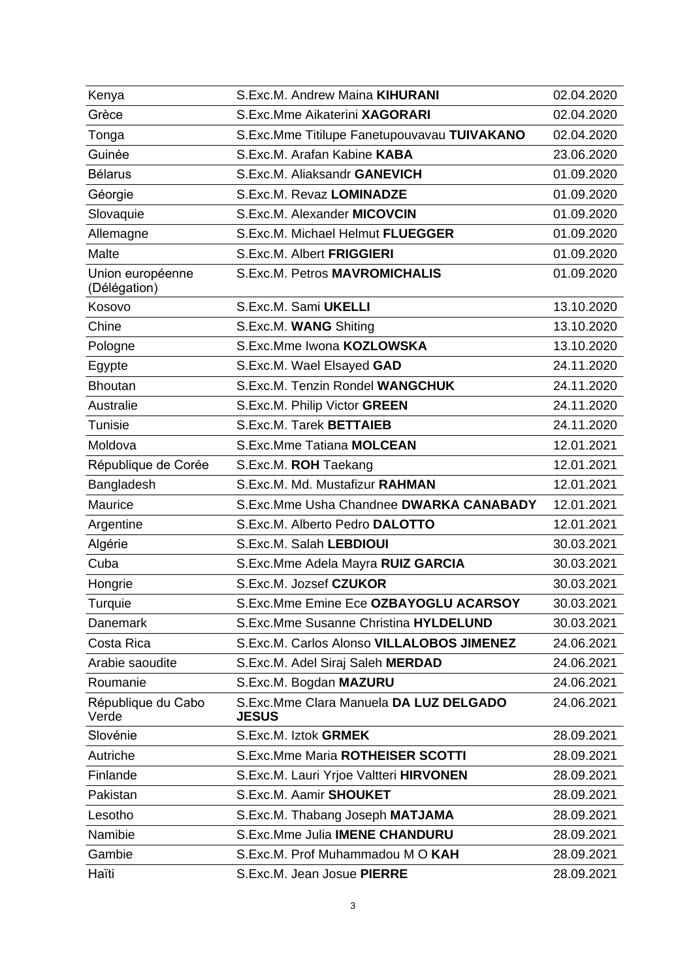| Kenya                            | S.Exc.M. Andrew Maina KIHURANI                         | 02.04.2020 |
|----------------------------------|--------------------------------------------------------|------------|
| Grèce                            | S.Exc.Mme Aikaterini XAGORARI                          | 02.04.2020 |
| Tonga                            | S.Exc.Mme Titilupe Fanetupouvavau TUIVAKANO            | 02.04.2020 |
| Guinée                           | S.Exc.M. Arafan Kabine KABA                            | 23.06.2020 |
| <b>Bélarus</b>                   | S.Exc.M. Aliaksandr GANEVICH                           | 01.09.2020 |
| Géorgie                          | S.Exc.M. Revaz LOMINADZE                               | 01.09.2020 |
| Slovaquie                        | S.Exc.M. Alexander MICOVCIN                            | 01.09.2020 |
| Allemagne                        | S.Exc.M. Michael Helmut FLUEGGER                       | 01.09.2020 |
| Malte                            | <b>S.Exc.M. Albert FRIGGIERI</b>                       | 01.09.2020 |
| Union européenne<br>(Délégation) | <b>S.Exc.M. Petros MAVROMICHALIS</b>                   | 01.09.2020 |
| Kosovo                           | S.Exc.M. Sami UKELLI                                   | 13.10.2020 |
| Chine                            | S.Exc.M. WANG Shiting                                  | 13.10.2020 |
| Pologne                          | S.Exc.Mme Iwona KOZLOWSKA                              | 13.10.2020 |
| Egypte                           | S.Exc.M. Wael Elsayed GAD                              | 24.11.2020 |
| <b>Bhoutan</b>                   | S.Exc.M. Tenzin Rondel WANGCHUK                        | 24.11.2020 |
| Australie                        | S.Exc.M. Philip Victor GREEN                           | 24.11.2020 |
| Tunisie                          | <b>S.Exc.M. Tarek BETTAIEB</b>                         | 24.11.2020 |
| Moldova                          | S.Exc.Mme Tatiana MOLCEAN                              | 12.01.2021 |
| République de Corée              | S.Exc.M. ROH Taekang                                   | 12.01.2021 |
| Bangladesh                       | S.Exc.M. Md. Mustafizur RAHMAN                         | 12.01.2021 |
| Maurice                          | S.Exc.Mme Usha Chandnee DWARKA CANABADY                | 12.01.2021 |
| Argentine                        | S.Exc.M. Alberto Pedro DALOTTO                         | 12.01.2021 |
| Algérie                          | S.Exc.M. Salah LEBDIOUI                                | 30.03.2021 |
| Cuba                             | S.Exc.Mme Adela Mayra RUIZ GARCIA                      | 30.03.2021 |
| Hongrie                          | S.Exc.M. Jozsef CZUKOR                                 | 30.03.2021 |
| Turquie                          | S.Exc.Mme Emine Ece OZBAYOGLU ACARSOY                  | 30.03.2021 |
| Danemark                         | S.Exc.Mme Susanne Christina HYLDELUND                  | 30.03.2021 |
| Costa Rica                       | S.Exc.M. Carlos Alonso VILLALOBOS JIMENEZ              | 24.06.2021 |
| Arabie saoudite                  | S.Exc.M. Adel Siraj Saleh MERDAD                       | 24.06.2021 |
| Roumanie                         | S.Exc.M. Bogdan MAZURU                                 | 24.06.2021 |
| République du Cabo<br>Verde      | S.Exc.Mme Clara Manuela DA LUZ DELGADO<br><b>JESUS</b> | 24.06.2021 |
| Slovénie                         | S.Exc.M. Iztok GRMEK                                   | 28.09.2021 |
| Autriche                         | <b>S.Exc.Mme Maria ROTHEISER SCOTTI</b>                | 28.09.2021 |
| Finlande                         | S.Exc.M. Lauri Yrjoe Valtteri HIRVONEN                 | 28.09.2021 |
| Pakistan                         | S.Exc.M. Aamir SHOUKET                                 | 28.09.2021 |
| Lesotho                          | S.Exc.M. Thabang Joseph MATJAMA                        | 28.09.2021 |
| Namibie                          | S.Exc.Mme Julia IMENE CHANDURU                         | 28.09.2021 |
| Gambie                           | S.Exc.M. Prof Muhammadou M O KAH                       | 28.09.2021 |
| Haïti                            | S.Exc.M. Jean Josue PIERRE                             | 28.09.2021 |